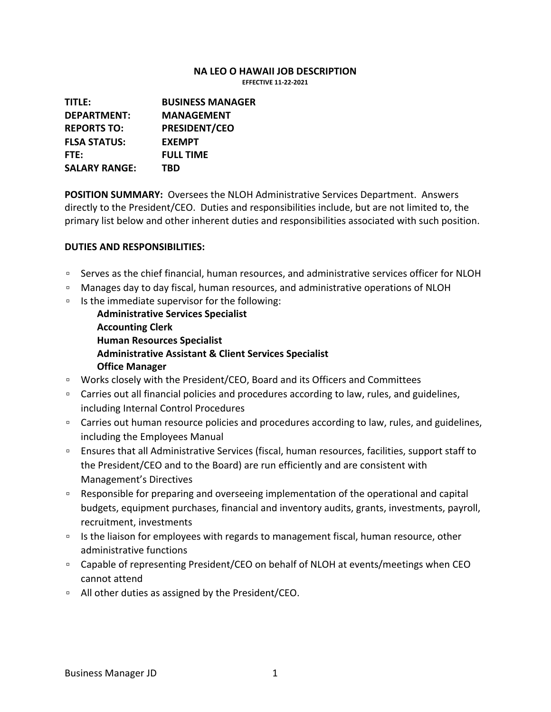## **NA LEO O HAWAII JOB DESCRIPTION**

**EFFECTIVE 11-22-2021**

**TITLE: BUSINESS MANAGER DEPARTMENT: MANAGEMENT REPORTS TO: PRESIDENT/CEO FLSA STATUS: EXEMPT FTE: FULL TIME SALARY RANGE: TBD**

**POSITION SUMMARY:** Oversees the NLOH Administrative Services Department. Answers directly to the President/CEO. Duties and responsibilities include, but are not limited to, the primary list below and other inherent duties and responsibilities associated with such position.

## **DUTIES AND RESPONSIBILITIES:**

- □ Serves as the chief financial, human resources, and administrative services officer for NLOH
- Manages day to day fiscal, human resources, and administrative operations of NLOH
- Is the immediate supervisor for the following:
	- **Administrative Services Specialist Accounting Clerk Human Resources Specialist Administrative Assistant & Client Services Specialist Office Manager**
- Works closely with the President/CEO, Board and its Officers and Committees
- □ Carries out all financial policies and procedures according to law, rules, and guidelines, including Internal Control Procedures
- □ Carries out human resource policies and procedures according to law, rules, and guidelines, including the Employees Manual
- Ensures that all Administrative Services (fiscal, human resources, facilities, support staff to the President/CEO and to the Board) are run efficiently and are consistent with Management's Directives
- Responsible for preparing and overseeing implementation of the operational and capital budgets, equipment purchases, financial and inventory audits, grants, investments, payroll, recruitment, investments
- □ Is the liaison for employees with regards to management fiscal, human resource, other administrative functions
- □ Capable of representing President/CEO on behalf of NLOH at events/meetings when CEO cannot attend
- All other duties as assigned by the President/CEO.